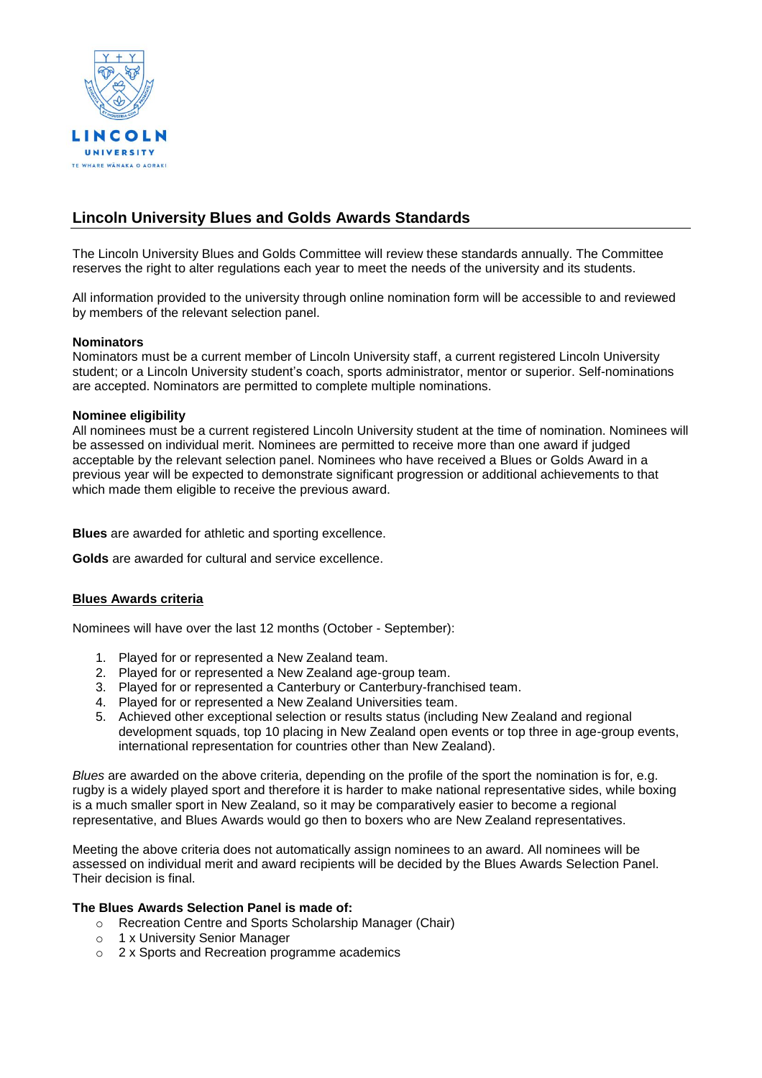

# **Lincoln University Blues and Golds Awards Standards**

The Lincoln University Blues and Golds Committee will review these standards annually. The Committee reserves the right to alter regulations each year to meet the needs of the university and its students.

All information provided to the university through online nomination form will be accessible to and reviewed by members of the relevant selection panel.

## **Nominators**

Nominators must be a current member of Lincoln University staff, a current registered Lincoln University student; or a Lincoln University student's coach, sports administrator, mentor or superior. Self-nominations are accepted. Nominators are permitted to complete multiple nominations.

# **Nominee eligibility**

All nominees must be a current registered Lincoln University student at the time of nomination. Nominees will be assessed on individual merit. Nominees are permitted to receive more than one award if judged acceptable by the relevant selection panel. Nominees who have received a Blues or Golds Award in a previous year will be expected to demonstrate significant progression or additional achievements to that which made them eligible to receive the previous award.

**Blues** are awarded for athletic and sporting excellence.

**Golds** are awarded for cultural and service excellence.

# **Blues Awards criteria**

Nominees will have over the last 12 months (October - September):

- 1. Played for or represented a New Zealand team.
- 2. Played for or represented a New Zealand age-group team.
- 3. Played for or represented a Canterbury or Canterbury-franchised team.
- 4. Played for or represented a New Zealand Universities team.
- 5. Achieved other exceptional selection or results status (including New Zealand and regional development squads, top 10 placing in New Zealand open events or top three in age-group events, international representation for countries other than New Zealand).

*Blues* are awarded on the above criteria, depending on the profile of the sport the nomination is for, e.g. rugby is a widely played sport and therefore it is harder to make national representative sides, while boxing is a much smaller sport in New Zealand, so it may be comparatively easier to become a regional representative, and Blues Awards would go then to boxers who are New Zealand representatives.

Meeting the above criteria does not automatically assign nominees to an award. All nominees will be assessed on individual merit and award recipients will be decided by the Blues Awards Selection Panel. Their decision is final.

# **The Blues Awards Selection Panel is made of:**

- o Recreation Centre and Sports Scholarship Manager (Chair)
- o 1 x University Senior Manager
- o 2 x Sports and Recreation programme academics